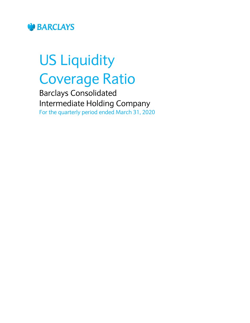

# US Liquidity Coverage Ratio

Barclays Consolidated Intermediate Holding Company For the quarterly period ended March 31, 2020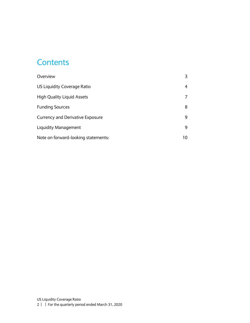#### **Contents**

| Overview                                |    |
|-----------------------------------------|----|
| US Liquidity Coverage Ratio             | 4  |
| <b>High Quality Liquid Assets</b>       |    |
| <b>Funding Sources</b>                  | 8  |
| <b>Currency and Derivative Exposure</b> | 9  |
| Liquidity Management                    | 9  |
| Note on forward-looking statements:     | 10 |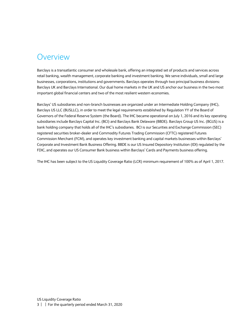#### <span id="page-2-0"></span>Overview

Barclays is a transatlantic consumer and wholesale bank, offering an integrated set of products and services across retail banking, wealth management, corporate banking and investment banking. We serve individuals, small and large businesses, corporations, institutions and governments. Barclays operates through two principal business divisions: Barclays UK and Barclays International. Our dual home markets in the UK and US anchor our business in the two most important global financial centers and two of the most resilient western economies.

Barclays' US subsidiaries and non-branch businesses are organized under an Intermediate Holding Company (IHC), Barclays US LLC (BUSLLC), in order to meet the legal requirements established by Regulation YY of the Board of Governors of the Federal Reserve System (the Board). The IHC became operational on July 1, 2016 and its key operating subsidiaries include Barclays Capital Inc. (BCI) and Barclays Bank Delaware (BBDE). Barclays Group US Inc. (BGUS) is a bank holding company that holds all of the IHC's subsidiaries. BCI is our Securities and Exchange Commission (SEC) registered securities broker-dealer and Commodity Futures Trading Commission (CFTC) registered Futures Commission Merchant (FCM), and operates key investment banking and capital markets businesses within Barclays' Corporate and Investment Bank Business Offering. BBDE is our US Insured Depository Institution (IDI) regulated by the FDIC, and operates our US Consumer Bank business within Barclays' Cards and Payments business offering.

The IHC has been subject to the US Liquidity Coverage Ratio (LCR) minimum requirement of 100% as of April 1, 2017.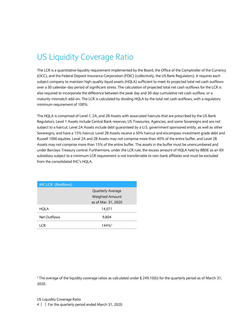## <span id="page-3-0"></span>US Liquidity Coverage Ratio

The LCR is a quantitative liquidity requirement implemented by the Board, the Office of the Comptroller of the Currency (OCC), and the Federal Deposit Insurance Corporation (FDIC) (collectively, the US Bank Regulators). It requires each subject company to maintain high-quality liquid assets (HQLA) sufficient to meet its projected total net cash outflows over a 30 calendar-day period of significant stress. The calculation of projected total net cash outflows for the LCR is also required to incorporate the difference between the peak day and 30-day cumulative net cash outflow, or a maturity mismatch add-on. The LCR is calculated by dividing HQLA by the total net cash outflows, with a regulatory minimum requirement of 100%.

The HQLA is comprised of Level 1, 2A, and 2B Assets with associated haircuts that are prescribed by the US Bank Regulators. Level 1 Assets include Central Bank reserves, US Treasuries, Agencies, and some Sovereigns and are not subject to a haircut. Level 2A Assets include debt guaranteed by a U.S. government sponsored entity, as well as other Sovereigns, and have a 15% haircut. Level 2B Assets receive a 50% haircut and encompass investment grade debt and Russell 1000 equities. Level 2A and 2B Assets may not comprise more than 40% of the entire buffer, and Level 2B Assets may not comprise more than 15% of the entire buffer. The assets in the buffer must be unencumbered and under Barclays Treasury control. Furthermore, under the LCR rule, the excess amount of HQLA held by BBDE as an IDI subsidiary subject to a minimum LCR requirement is not transferrable to non-bank affiliates and must be excluded from the consolidated IHC's HQLA.

| <b>IHC LCR (\$millions)</b> |                          |  |
|-----------------------------|--------------------------|--|
|                             | <b>Quarterly Average</b> |  |
|                             | <b>Weighted Amount</b>   |  |
|                             | as of Mar. 31, 2020      |  |
| HQLA                        | 14,071                   |  |
| Net Outflows                | 9,804                    |  |
| I CR                        | $144\%$ <sup>1</sup>     |  |

<sup>1</sup> The average of the liquidity coverage ratios as calculated under § 249.10(b) for the quarterly period as of March 31, 2020.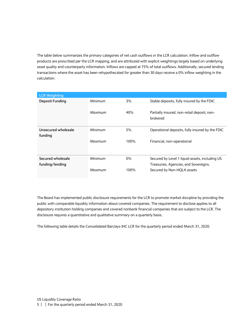The table below summarizes the primary categories of net cash outflows in the LCR calculation. Inflow and outflow products are prescribed per the LCR mapping, and are attributed with explicit weightings largely based on underlying asset quality and counterparty information. Inflows are capped at 75% of total outflows. Additionally, secured lending transactions where the asset has been rehypothecated for greater than 30 days receive a 0% inflow weighting in the calculation.

| <b>LCR Weighting</b>   |         |       |                                                         |
|------------------------|---------|-------|---------------------------------------------------------|
| <b>Deposit Funding</b> | Minimum | 3%    | Stable deposits, fully insured by the FDIC              |
|                        | Maximum | 40%   | Partially insured, non-retail deposit, non-<br>brokered |
| Unsecured wholesale    | Minimum | 5%    | Operational deposits, fully insured by the FDIC         |
| funding                |         |       |                                                         |
|                        | Maximum | 100%  | Financial, non-operational                              |
| Secured wholesale      | Minimum | $0\%$ | Secured by Level 1 liquid assets, including US          |
| funding/lending        |         |       | Treasuries, Agencies, and Sovereigns.                   |
|                        | Maximum | 100%  | Secured by Non-HQLA assets                              |

The Board has implemented public disclosure requirements for the LCR to promote market discipline by providing the public with comparable liquidity information about covered companies. The requirement to disclose applies to all depository institution holding companies and covered nonbank financial companies that are subject to the LCR. The disclosure requires a quantitative and qualitative summary on a quarterly basis.

The following table details the Consolidated Barclays IHC LCR for the quarterly period ended March 31, 2020.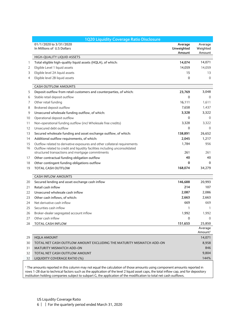|    | 1Q20 Liquidity Coverage Ratio Disclosure                                    |                                 |                                |
|----|-----------------------------------------------------------------------------|---------------------------------|--------------------------------|
|    | 01/1/2020 to 3/31/2020<br>In Millions of U.S Dollars                        | Average<br>Unweighted<br>Amount | Average<br>Weighted<br>Amount  |
|    | HIGH-QUALITY LIQUID ASSETS                                                  |                                 |                                |
| 1  | Total eligible high-quality liquid assets (HQLA), of which:                 | 14,074                          | 14,071                         |
| 2  | Eligible Level 1 liquid assets                                              | 14,059                          | 14,059                         |
| 3  | Eligible level 2A liquid assets                                             | 15                              | 13                             |
| 4  | Eligible level 2B liquid assets                                             | 0                               | $\Omega$                       |
|    | <b>CASH OUTFLOW AMOUNTS</b>                                                 |                                 |                                |
| 5  | Deposit outflow from retail customers and counterparties, of which:         | 23,769                          | 3,048                          |
| 6  | Stable retail deposit outflow                                               | $\mathbf{0}$                    | $\Omega$                       |
| 7  | Other retail funding                                                        | 16,111                          | 1,611                          |
| 8  | Brokered deposit outflow                                                    | 7,658                           | 1,437                          |
| 9  | Unsecured wholesale funding outflow, of which:                              | 3,328                           | 3,322                          |
| 10 | Operational deposit outflow                                                 | 0                               | $\mathbf{0}$                   |
| 11 | Non-operational funding outflow (incl Wholesale free credits)               | 3.328                           | 3.322                          |
| 12 | Unsecured debt outflow                                                      | 0                               | $\mathbf{0}$                   |
| 13 | Secured wholesale funding and asset exchange outflow, of which:             | 138,891                         | 26,652                         |
| 14 | Additional outflow requirements, of which:                                  | 2,045                           | 1,217                          |
| 15 | Outflow related to derivative exposures and other collateral requirements   | 1,784                           | 956                            |
| 16 | Outflow related to credit and liquidity facilities including unconsolidated |                                 |                                |
|    | structured transactions and mortgage commitments                            | 261                             | 261                            |
| 17 | Other contractual funding obligation outflow                                | 40                              | 40                             |
| 18 | Other contingent funding obligations outflow                                | 0                               | 0                              |
| 19 | <b>TOTAL CASH OUTFLOW</b>                                                   | 168,074                         | 34,279                         |
|    | <b>CASH INFLOW AMOUNTS</b>                                                  |                                 |                                |
| 20 | Secured lending and asset exchange cash inflow                              | 146,688                         | 20,993                         |
| 21 | Retail cash inflow                                                          | 214                             | 107                            |
| 22 | Unsecured wholesale cash inflow                                             | 2,087                           | 2,086                          |
| 23 | Other cash inflows, of which:                                               | 2,663                           | 2,663                          |
| 24 | Net derivative cash inflow                                                  | 669                             | 669                            |
| 25 | Securities cash inflow                                                      | 1                               | 1                              |
| 26 | Broker-dealer segregated account inflow                                     | 1,992                           | 1,992                          |
| 27 | Other cash inflow                                                           | $\Omega$                        | $\Omega$                       |
|    | 28 TOTAL CASH INFLOW                                                        | 151,653                         | 25,850                         |
|    |                                                                             |                                 | Average<br>Amount <sup>1</sup> |
| 29 | <b>HQLA AMOUNT</b>                                                          |                                 | 14,071                         |
| 30 | TOTAL NET CASH OUTFLOW AMOUNT EXCLUDING THE MATURITY MISMATCH ADD-ON        |                                 | 8,958                          |
| 31 | <b>MATURITY MISMATCH ADD-ON</b>                                             |                                 | 846                            |
| 32 | TOTAL NET CASH OUTFLOW AMOUNT                                               |                                 | 9,804                          |
| 32 | LIQUIDITY COVERAGE RATIO (%)                                                |                                 | 144%                           |

<sup>1</sup> The amounts reported in this column may not equal the calculation of those amounts using component amounts reported in rows 1-28 due to technical factors such as the application of the level 2 liquid asset caps, the total inflow cap, and for depository institution holding companies subject to subpart G, the application of the modification to total net cash outflows.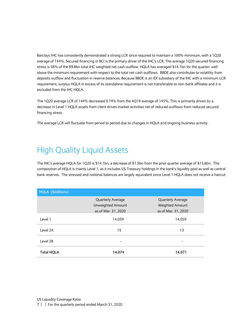Barclays IHC has consistently demonstrated a strong LCR since required to maintain a 100% minimum, with a 1Q20 average of 144%. Secured financing in BCI is the primary driver of the IHC's LCR. The average 1Q20 secured financing stress is 58% of the \$9.8bn total IHC weighted net cash outflow. HQLA has averaged \$14.1bn for the quarter, well above the minimum requirement with respect to the total net cash outflows. BBDE also contributes to volatility from deposits outflow and fluctuation in reserve balances. Because BBDE is an IDI subsidiary of the IHC with a minimum LCR requirement, surplus HQLA in excess of its standalone requirement is not transferable to non-bank affiliates and it is excluded from the IHC HQLA.

The 1Q20 average LCR of 144% decreased 0.74% from the 4Q19 average of 145%. This is primarily driven by a decrease in Level 1 HQLA assets from client driven market activities net of reduced outflows from reduced secured financing stress.

The average LCR will fluctuate from period to period due to changes in HQLA and ongoing business activity.

#### <span id="page-6-0"></span>High Quality Liquid Assets

The IHC's average HQLA for 1Q20 is \$14.1bn, a decrease of \$1.5bn from the prior quarter average of \$15.6bn. The composition of HQLA is mainly Level 1, as it includes US Treasury holdings in the bank's liquidity pool as well as central bank reserves. The stressed and notional balances are largely equivalent since Level 1 HQLA does not receive a haircut.

| HQLA (\$millions) |                     |                        |  |
|-------------------|---------------------|------------------------|--|
|                   | Quarterly Average   | Quarterly Average      |  |
|                   | Unweighted Amount   | <b>Weighted Amount</b> |  |
|                   | as of Mar. 31, 2020 | as of Mar. 31, 2020    |  |
| Level 1           | 14,059              | 14,059                 |  |
| Level 2A          | 15                  | 13                     |  |
| Level 2B          | -                   |                        |  |
| <b>Total HQLA</b> | 14,074              | 14,071                 |  |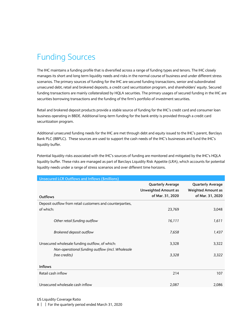## <span id="page-7-0"></span>Funding Sources

The IHC maintains a funding profile that is diversified across a range of funding types and tenors. The IHC closely manages its short and long term liquidity needs and risks in the normal course of business and under different stress scenarios. The primary sources of funding for the IHC are secured funding transactions, senior and subordinated unsecured debt, retail and brokered deposits, a credit card securitization program, and shareholders' equity. Secured funding transactions are mainly collateralized by HQLA securities. The primary usages of secured funding in the IHC are securities borrowing transactions and the funding of the firm's portfolio of investment securities.

Retail and brokered deposit products provide a stable source of funding for the IHC's credit card and consumer loan business operating in BBDE. Additional long-term funding for the bank entity is provided through a credit card securitization program.

Additional unsecured funding needs for the IHC are met through debt and equity issued to the IHC's parent, Barclays Bank PLC (BBPLC). These sources are used to support the cash needs of the IHC's businesses and fund the IHC's liquidity buffer.

Potential liquidity risks associated with the IHC's sources of funding are monitored and mitigated by the IHC's HQLA liquidity buffer. These risks are managed as part of Barclays Liquidity Risk Appetite (LRA), which accounts for potential liquidity needs under a range of stress scenarios and over different time horizons.

| <b>Unsecured LCR Outflows and Inflows (\$millions)</b>            |                                                                             |                                                                           |
|-------------------------------------------------------------------|-----------------------------------------------------------------------------|---------------------------------------------------------------------------|
| Outflows                                                          | <b>Quarterly Average</b><br><b>Unweighted Amount as</b><br>of Mar. 31, 2020 | <b>Quarterly Average</b><br><b>Weighted Amount as</b><br>of Mar. 31, 2020 |
| Deposit outflow from retail customers and counterparties,         |                                                                             |                                                                           |
| of which:                                                         | 23,769                                                                      | 3,048                                                                     |
| Other retail funding outflow                                      | 16,111                                                                      | 1,611                                                                     |
| Brokered deposit outflow                                          | 7,658                                                                       | 1,437                                                                     |
| Unsecured wholesale funding outflow, of which:                    | 3,328                                                                       | 3,322                                                                     |
| Non-operational funding outflow (incl. Wholesale<br>free credits) | 3,328                                                                       | 3,322                                                                     |
| <b>Inflows</b>                                                    |                                                                             |                                                                           |
| Retail cash inflow                                                | 214                                                                         | 107                                                                       |
| Unsecured wholesale cash inflow                                   | 2,087                                                                       | 2,086                                                                     |

US Liquidity Coverage Ratio

8 | | For the quarterly period ended March 31, 2020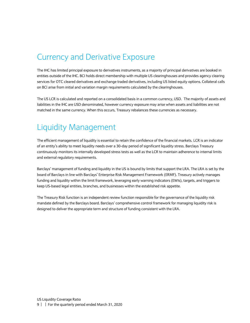#### <span id="page-8-0"></span>Currency and Derivative Exposure

The IHC has limited principal exposure to derivatives instruments, as a majority of principal derivatives are booked in entities outside of the IHC. BCI holds direct membership with multiple US clearinghouses and provides agency clearing services for OTC cleared derivatives and exchange traded derivatives, including US listed equity options. Collateral calls on BCI arise from initial and variation margin requirements calculated by the clearinghouses.

The US LCR is calculated and reported on a consolidated basis in a common currency, USD. The majority of assets and liabilities in the IHC are USD denominated, however currency exposure may arise when assets and liabilities are not matched in the same currency. When this occurs, Treasury rebalances these currencies as necessary.

#### <span id="page-8-1"></span>Liquidity Management

The efficient management of liquidity is essential to retain the confidence of the financial markets. LCR is an indicator of an entity's ability to meet liquidity needs over a 30-day period of significant liquidity stress. Barclays Treasury continuously monitors its internally developed stress tests as well as the LCR to maintain adherence to internal limits and external regulatory requirements.

Barclays' management of funding and liquidity in the US is bound by limits that support the LRA. The LRA is set by the board of Barclays in line with Barclays' Enterprise Risk Management Framework (ERMF). Treasury actively manages funding and liquidity within the limit framework, leveraging early warning indicators (EWIs), targets, and triggers to keep US-based legal entities, branches, and businesses within the established risk appetite.

The Treasury Risk function is an independent review function responsible for the governance of the liquidity risk mandate defined by the Barclays board. Barclays' comprehensive control framework for managing liquidity risk is designed to deliver the appropriate term and structure of funding consistent with the LRA.